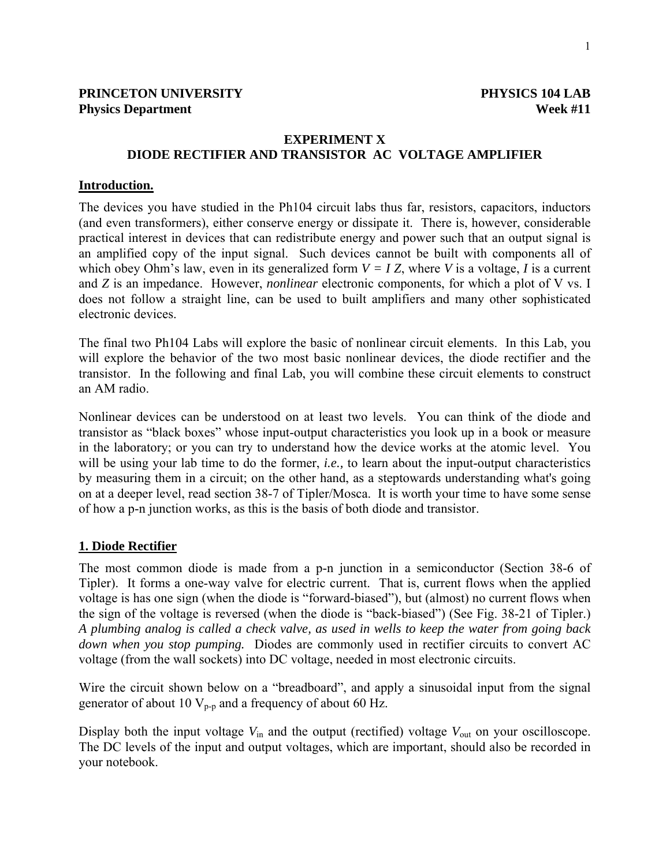## **PRINCETON UNIVERSITY PHYSICS 104 LAB Physics Department** Week #11

# **EXPERIMENT X DIODE RECTIFIER AND TRANSISTOR AC VOLTAGE AMPLIFIER**

#### **Introduction.**

The devices you have studied in the Ph104 circuit labs thus far, resistors, capacitors, inductors (and even transformers), either conserve energy or dissipate it. There is, however, considerable practical interest in devices that can redistribute energy and power such that an output signal is an amplified copy of the input signal. Such devices cannot be built with components all of which obey Ohm's law, even in its generalized form  $V = I Z$ , where *V* is a voltage, *I* is a current and *Z* is an impedance. However, *nonlinear* electronic components, for which a plot of V vs. I does not follow a straight line, can be used to built amplifiers and many other sophisticated electronic devices.

The final two Ph104 Labs will explore the basic of nonlinear circuit elements. In this Lab, you will explore the behavior of the two most basic nonlinear devices, the diode rectifier and the transistor. In the following and final Lab, you will combine these circuit elements to construct an AM radio.

Nonlinear devices can be understood on at least two levels. You can think of the diode and transistor as "black boxes" whose input-output characteristics you look up in a book or measure in the laboratory; or you can try to understand how the device works at the atomic level. You will be using your lab time to do the former, *i.e.,* to learn about the input-output characteristics by measuring them in a circuit; on the other hand, as a steptowards understanding what's going on at a deeper level, read section 38-7 of Tipler/Mosca. It is worth your time to have some sense of how a p-n junction works, as this is the basis of both diode and transistor.

## **1. Diode Rectifier**

The most common diode is made from a p-n junction in a semiconductor (Section 38-6 of Tipler). It forms a one-way valve for electric current. That is, current flows when the applied voltage is has one sign (when the diode is "forward-biased"), but (almost) no current flows when the sign of the voltage is reversed (when the diode is "back-biased") (See Fig. 38-21 of Tipler.) *A plumbing analog is called a check valve, as used in wells to keep the water from going back down when you stop pumping.* Diodes are commonly used in rectifier circuits to convert AC voltage (from the wall sockets) into DC voltage, needed in most electronic circuits.

Wire the circuit shown below on a "breadboard", and apply a sinusoidal input from the signal generator of about 10  $V_{p-p}$  and a frequency of about 60 Hz.

Display both the input voltage  $V_{\text{in}}$  and the output (rectified) voltage  $V_{\text{out}}$  on your oscilloscope. The DC levels of the input and output voltages, which are important, should also be recorded in your notebook.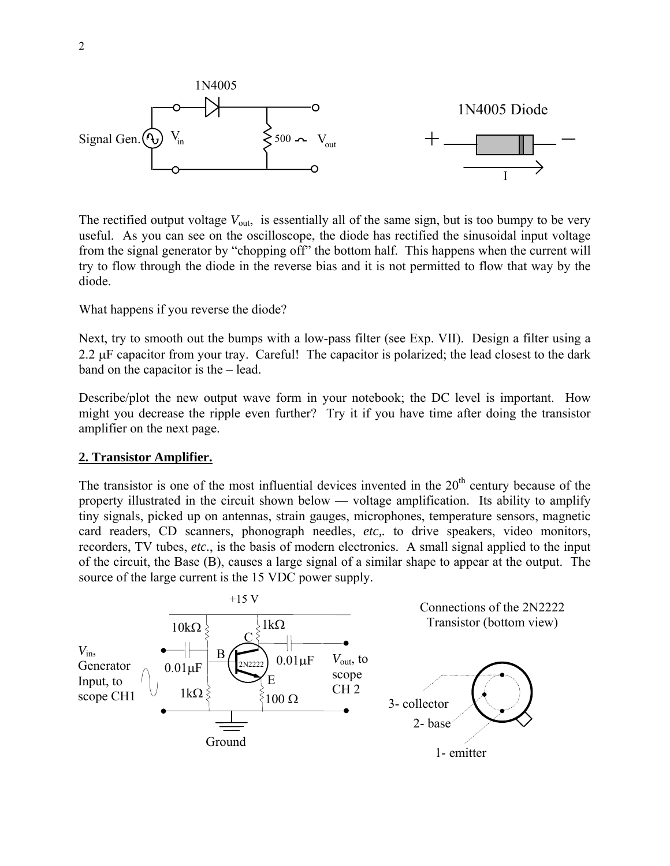

The rectified output voltage  $V_{\text{out}}$ , is essentially all of the same sign, but is too bumpy to be very useful. As you can see on the oscilloscope, the diode has rectified the sinusoidal input voltage from the signal generator by "chopping off" the bottom half. This happens when the current will try to flow through the diode in the reverse bias and it is not permitted to flow that way by the diode.

What happens if you reverse the diode?

Next, try to smooth out the bumps with a low-pass filter (see Exp. VII). Design a filter using a 2.2  $\mu$ F capacitor from your tray. Careful! The capacitor is polarized; the lead closest to the dark band on the capacitor is the – lead.

Describe/plot the new output wave form in your notebook; the DC level is important. How might you decrease the ripple even further? Try it if you have time after doing the transistor amplifier on the next page.

#### **2. Transistor Amplifier.**

The transistor is one of the most influential devices invented in the  $20<sup>th</sup>$  century because of the property illustrated in the circuit shown below — voltage amplification. Its ability to amplify tiny signals, picked up on antennas, strain gauges, microphones, temperature sensors, magnetic card readers, CD scanners, phonograph needles, *etc,.* to drive speakers, video monitors, recorders, TV tubes, *etc.*, is the basis of modern electronics. A small signal applied to the input of the circuit, the Base (B), causes a large signal of a similar shape to appear at the output. The source of the large current is the 15 VDC power supply.

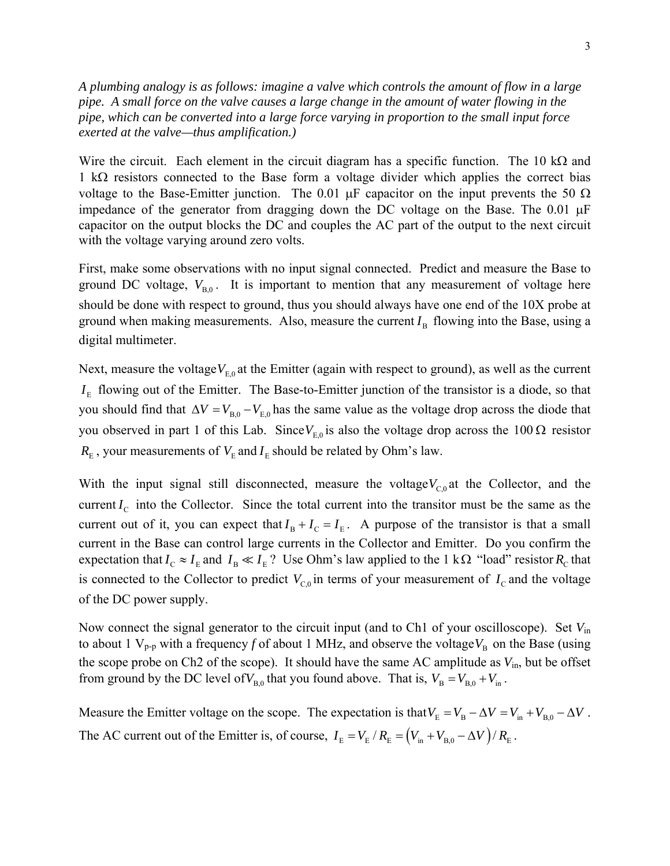*A plumbing analogy is as follows: imagine a valve which controls the amount of flow in a large pipe. A small force on the valve causes a large change in the amount of water flowing in the pipe, which can be converted into a large force varying in proportion to the small input force exerted at the valve—thus amplification.)*

Wire the circuit. Each element in the circuit diagram has a specific function. The 10 k $\Omega$  and 1 kΩ resistors connected to the Base form a voltage divider which applies the correct bias voltage to the Base-Emitter junction. The 0.01  $\mu$ F capacitor on the input prevents the 50  $\Omega$ impedance of the generator from dragging down the DC voltage on the Base. The  $0.01 \mu F$ capacitor on the output blocks the DC and couples the AC part of the output to the next circuit with the voltage varying around zero volts.

First, make some observations with no input signal connected. Predict and measure the Base to ground DC voltage,  $V_{B,0}$ . It is important to mention that any measurement of voltage here should be done with respect to ground, thus you should always have one end of the 10X probe at ground when making measurements. Also, measure the current  $I<sub>B</sub>$  flowing into the Base, using a digital multimeter.

Next, measure the voltage $V_{E0}$  at the Emitter (again with respect to ground), as well as the current  $I<sub>E</sub>$  flowing out of the Emitter. The Base-to-Emitter junction of the transistor is a diode, so that you should find that  $\Delta V = V_{B,0} - V_{E,0}$  has the same value as the voltage drop across the diode that you observed in part 1 of this Lab. Since  $V_{E,0}$  is also the voltage drop across the 100 Ω resistor  $R<sub>E</sub>$ , your measurements of  $V<sub>E</sub>$  and  $I<sub>E</sub>$  should be related by Ohm's law.

With the input signal still disconnected, measure the voltage $V_{C<sub>0</sub>}$  at the Collector, and the current  $I_c$  into the Collector. Since the total current into the transitor must be the same as the current out of it, you can expect that  $I_B + I_C = I_E$ . A purpose of the transistor is that a small current in the Base can control large currents in the Collector and Emitter. Do you confirm the expectation that  $I_c \approx I_E$  and  $I_B \ll I_E$ ? Use Ohm's law applied to the 1 kΩ "load" resistor  $R_C$  that is connected to the Collector to predict  $V_{C,0}$  in terms of your measurement of  $I_C$  and the voltage of the DC power supply.

Now connect the signal generator to the circuit input (and to Ch1 of your oscilloscope). Set *V*in to about 1  $V_{p-p}$  with a frequency *f* of about 1 MHz, and observe the voltage  $V_B$  on the Base (using the scope probe on Ch2 of the scope). It should have the same AC amplitude as *V*in, but be offset from ground by the DC level of  $V_{B,0}$  that you found above. That is,  $V_B = V_{B,0} + V_{in}$ .

Measure the Emitter voltage on the scope. The expectation is that  $V_E = V_B - \Delta V = V_{in} + V_{B,0} - \Delta V$ . The AC current out of the Emitter is, of course,  $I_E = V_E / R_E = (V_{in} + V_{B,0} - \Delta V) / R_E$ .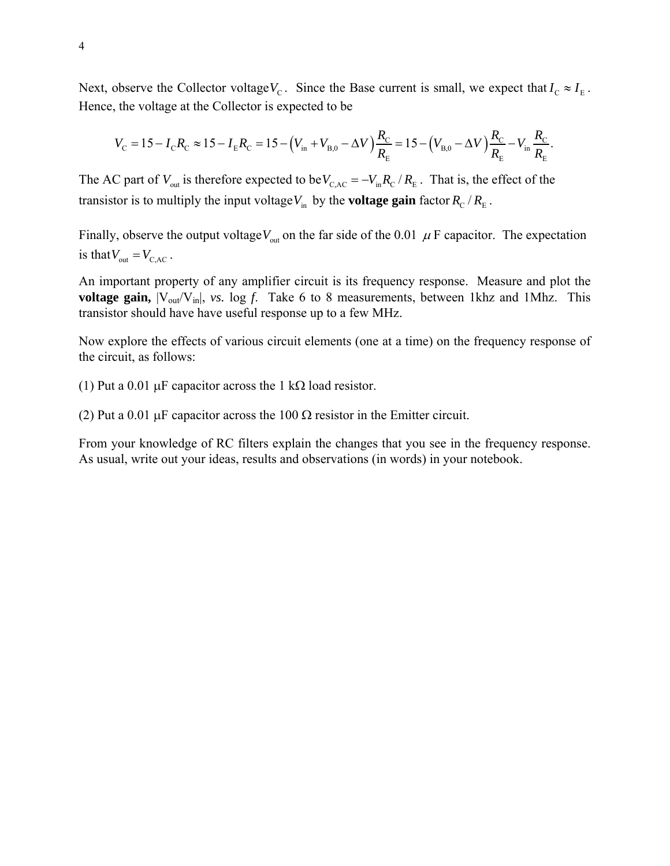Next, observe the Collector voltage $V_c$ . Since the Base current is small, we expect that  $I_c \approx I_E$ . Hence, the voltage at the Collector is expected to be

$$
V_{\rm C} = 15 - I_{\rm C}R_{\rm C} \approx 15 - I_{\rm E}R_{\rm C} = 15 - \left(V_{\rm in} + V_{\rm B,0} - \Delta V\right)\frac{R_{\rm C}}{R_{\rm E}} = 15 - \left(V_{\rm B,0} - \Delta V\right)\frac{R_{\rm C}}{R_{\rm E}} - V_{\rm in}\frac{R_{\rm C}}{R_{\rm E}}.
$$

The AC part of  $V_{\text{out}}$  is therefore expected to be  $V_{CAC} = -V_{\text{in}} R_C / R_E$ . That is, the effect of the transistor is to multiply the input voltage  $V_{\text{in}}$  by the **voltage gain** factor  $R_{\text{c}}$  /  $R_{\text{E}}$ .

Finally, observe the output voltage  $V_{\text{out}}$  on the far side of the 0.01  $\mu$  F capacitor. The expectation is that  $V_{\text{out}} = V_{\text{CAC}}$ .

An important property of any amplifier circuit is its frequency response. Measure and plot the **voltage gain,**  $|V_{out}/V_{in}|$ , *vs.* log *f.* Take 6 to 8 measurements, between 1khz and 1Mhz. This transistor should have have useful response up to a few MHz.

Now explore the effects of various circuit elements (one at a time) on the frequency response of the circuit, as follows:

(1) Put a 0.01 µF capacitor across the 1 kΩ load resistor.

(2) Put a 0.01 µF capacitor across the 100  $\Omega$  resistor in the Emitter circuit.

From your knowledge of RC filters explain the changes that you see in the frequency response. As usual, write out your ideas, results and observations (in words) in your notebook.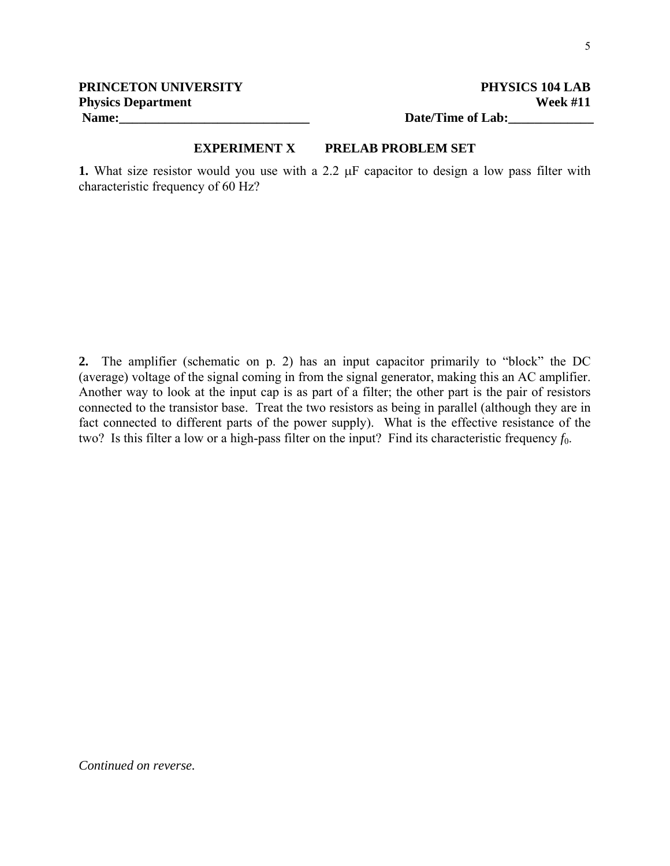## **EXPERIMENT X PRELAB PROBLEM SET**

**1.** What size resistor would you use with a 2.2  $\mu$ F capacitor to design a low pass filter with characteristic frequency of 60 Hz?

**2.** The amplifier (schematic on p. 2) has an input capacitor primarily to "block" the DC (average) voltage of the signal coming in from the signal generator, making this an AC amplifier. Another way to look at the input cap is as part of a filter; the other part is the pair of resistors connected to the transistor base. Treat the two resistors as being in parallel (although they are in fact connected to different parts of the power supply). What is the effective resistance of the two? Is this filter a low or a high-pass filter on the input? Find its characteristic frequency  $f_0$ .